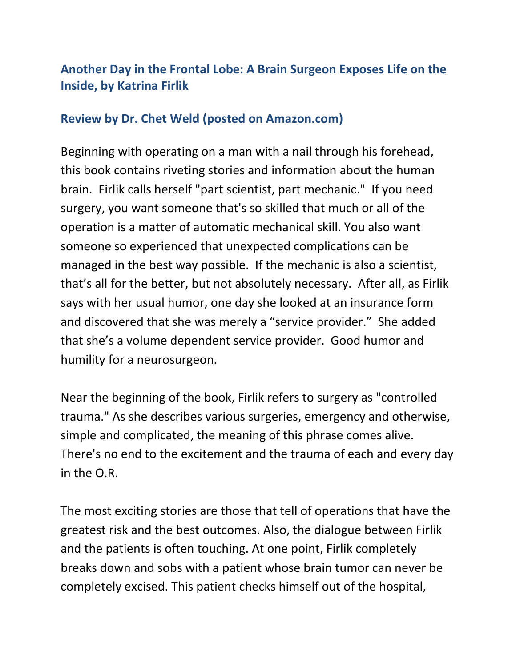## **Another Day in the Frontal Lobe: A Brain Surgeon Exposes Life on the Inside, by Katrina Firlik**

## **Review by Dr. Chet Weld (posted on Amazon.com)**

Beginning with operating on a man with a nail through his forehead, this book contains riveting stories and information about the human brain. Firlik calls herself "part scientist, part mechanic." If you need surgery, you want someone that's so skilled that much or all of the operation is a matter of automatic mechanical skill. You also want someone so experienced that unexpected complications can be managed in the best way possible. If the mechanic is also a scientist, that's all for the better, but not absolutely necessary. After all, as Firlik says with her usual humor, one day she looked at an insurance form and discovered that she was merely a "service provider." She added that she's a volume dependent service provider. Good humor and humility for a neurosurgeon.

Near the beginning of the book, Firlik refers to surgery as "controlled trauma." As she describes various surgeries, emergency and otherwise, simple and complicated, the meaning of this phrase comes alive. There's no end to the excitement and the trauma of each and every day in the O.R.

The most exciting stories are those that tell of operations that have the greatest risk and the best outcomes. Also, the dialogue between Firlik and the patients is often touching. At one point, Firlik completely breaks down and sobs with a patient whose brain tumor can never be completely excised. This patient checks himself out of the hospital,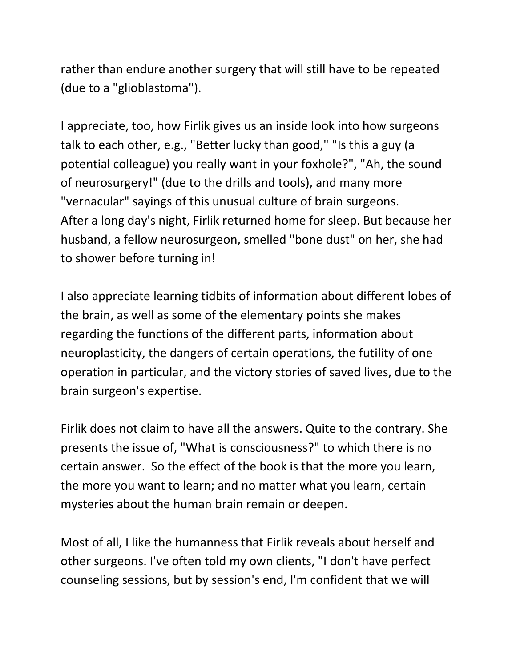rather than endure another surgery that will still have to be repeated (due to a "glioblastoma").

I appreciate, too, how Firlik gives us an inside look into how surgeons talk to each other, e.g., "Better lucky than good," "Is this a guy (a potential colleague) you really want in your foxhole?", "Ah, the sound of neurosurgery!" (due to the drills and tools), and many more "vernacular" sayings of this unusual culture of brain surgeons. After a long day's night, Firlik returned home for sleep. But because her husband, a fellow neurosurgeon, smelled "bone dust" on her, she had to shower before turning in!

I also appreciate learning tidbits of information about different lobes of the brain, as well as some of the elementary points she makes regarding the functions of the different parts, information about neuroplasticity, the dangers of certain operations, the futility of one operation in particular, and the victory stories of saved lives, due to the brain surgeon's expertise.

Firlik does not claim to have all the answers. Quite to the contrary. She presents the issue of, "What is consciousness?" to which there is no certain answer. So the effect of the book is that the more you learn, the more you want to learn; and no matter what you learn, certain mysteries about the human brain remain or deepen.

Most of all, I like the humanness that Firlik reveals about herself and other surgeons. I've often told my own clients, "I don't have perfect counseling sessions, but by session's end, I'm confident that we will